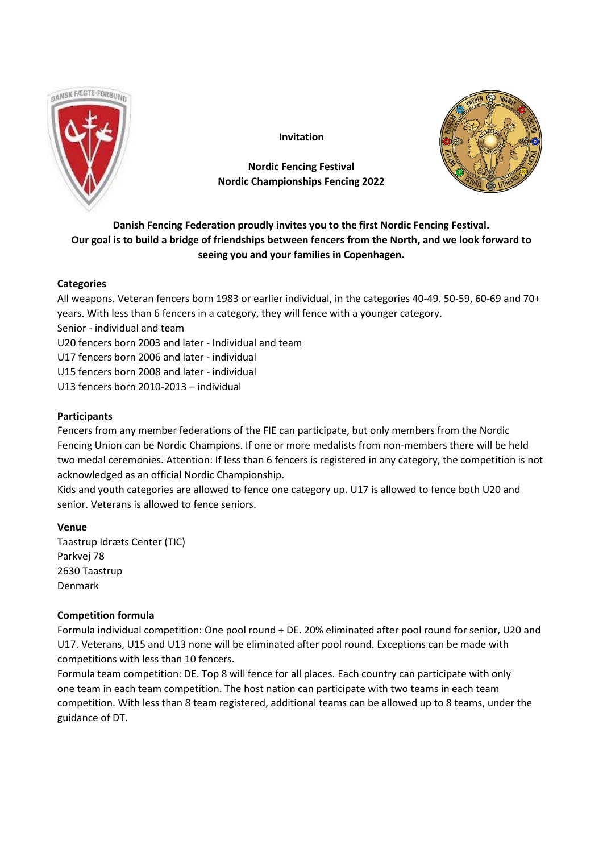

**Invitation**

# **Nordic Fencing Festival Nordic Championships Fencing 2022**



# **Danish Fencing Federation proudly invites you to the first Nordic Fencing Festival. Our goal is to build a bridge of friendships between fencers from the North, and we look forward to seeing you and your families in Copenhagen.**

# **Categories**

All weapons. Veteran fencers born 1983 or earlier individual, in the categories 40-49. 50-59, 60-69 and 70+ years. With less than 6 fencers in a category, they will fence with a younger category.

Senior - individual and team

U20 fencers born 2003 and later - Individual and team

U17 fencers born 2006 and later - individual

U15 fencers born 2008 and later - individual

U13 fencers born 2010-2013 – individual

# **Participants**

Fencers from any member federations of the FIE can participate, but only members from the Nordic Fencing Union can be Nordic Champions. If one or more medalists from non-members there will be held two medal ceremonies. Attention: If less than 6 fencers is registered in any category, the competition is not acknowledged as an official Nordic Championship.

Kids and youth categories are allowed to fence one category up. U17 is allowed to fence both U20 and senior. Veterans is allowed to fence seniors.

# **Venue**

Taastrup Idræts Center (TIC) Parkvej 78 2630 Taastrup Denmark

# **Competition formula**

Formula individual competition: One pool round + DE. 20% eliminated after pool round for senior, U20 and U17. Veterans, U15 and U13 none will be eliminated after pool round. Exceptions can be made with competitions with less than 10 fencers.

Formula team competition: DE. Top 8 will fence for all places. Each country can participate with only one team in each team competition. The host nation can participate with two teams in each team competition. With less than 8 team registered, additional teams can be allowed up to 8 teams, under the guidance of DT.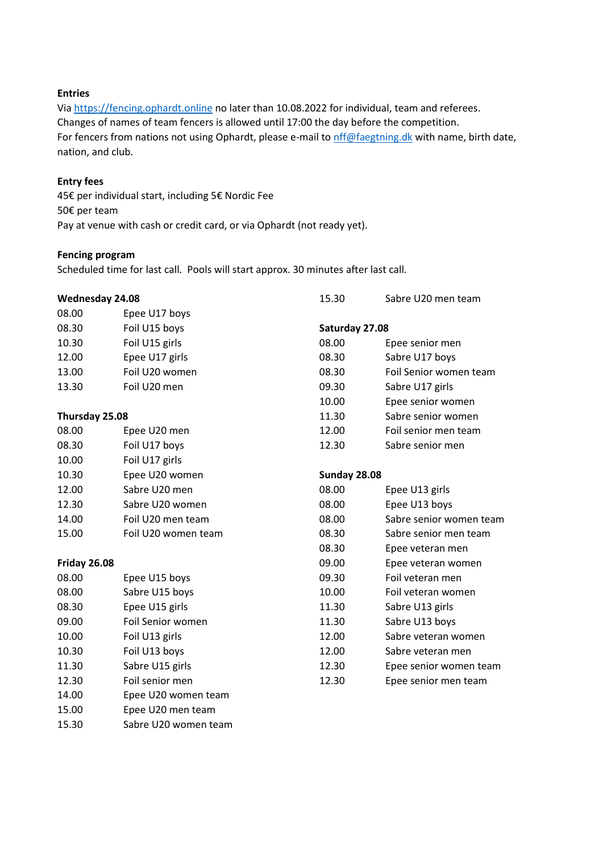## **Entries**

Via [https://fencing.ophardt.online](https://fencing.ophardt.online/) no later than 10.08.2022 for individual, team and referees. Changes of names of team fencers is allowed until 17:00 the day before the competition. For fencers from nations not using Ophardt, please e-mail to [nff@faegtning.dk](mailto:nff@faegtning.dk) with name, birth date, nation, and club.

#### **Entry fees**

45€ per individual start, including 5€ Nordic Fee 50€ per team Pay at venue with cash or credit card, or via Ophardt (not ready yet).

#### **Fencing program**

Scheduled time for last call. Pools will start approx. 30 minutes after last call.

| Wednesday 24.08 |                      | 15.30          | Sabre U20 men team      |
|-----------------|----------------------|----------------|-------------------------|
| 08.00           | Epee U17 boys        |                |                         |
| 08.30           | Foil U15 boys        | Saturday 27.08 |                         |
| 10.30           | Foil U15 girls       | 08.00          | Epee senior men         |
| 12.00           | Epee U17 girls       | 08.30          | Sabre U17 boys          |
| 13.00           | Foil U20 women       | 08.30          | Foil Senior women team  |
| 13.30           | Foil U20 men         | 09.30          | Sabre U17 girls         |
|                 |                      | 10.00          | Epee senior women       |
| Thursday 25.08  |                      | 11.30          | Sabre senior women      |
| 08.00           | Epee U20 men         | 12.00          | Foil senior men team    |
| 08.30           | Foil U17 boys        | 12.30          | Sabre senior men        |
| 10.00           | Foil U17 girls       |                |                         |
| 10.30           | Epee U20 women       | Sunday 28.08   |                         |
| 12.00           | Sabre U20 men        | 08.00          | Epee U13 girls          |
| 12.30           | Sabre U20 women      | 08.00          | Epee U13 boys           |
| 14.00           | Foil U20 men team    | 08.00          | Sabre senior women team |
| 15.00           | Foil U20 women team  | 08.30          | Sabre senior men team   |
|                 |                      | 08.30          | Epee veteran men        |
| Friday 26.08    |                      | 09.00          | Epee veteran women      |
| 08.00           | Epee U15 boys        | 09.30          | Foil veteran men        |
| 08.00           | Sabre U15 boys       | 10.00          | Foil veteran women      |
| 08.30           | Epee U15 girls       | 11.30          | Sabre U13 girls         |
| 09.00           | Foil Senior women    | 11.30          | Sabre U13 boys          |
| 10.00           | Foil U13 girls       | 12.00          | Sabre veteran women     |
| 10.30           | Foil U13 boys        | 12.00          | Sabre veteran men       |
| 11.30           | Sabre U15 girls      | 12.30          | Epee senior women team  |
| 12.30           | Foil senior men      | 12.30          | Epee senior men team    |
| 14.00           | Epee U20 women team  |                |                         |
| 15.00           | Epee U20 men team    |                |                         |
| 15.30           | Sabre U20 women team |                |                         |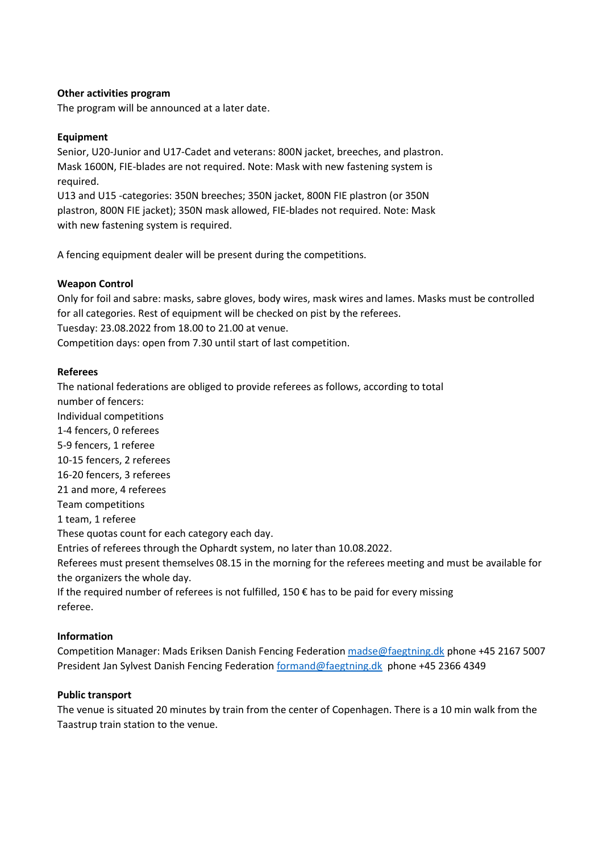### **Other activities program**

The program will be announced at a later date.

## **Equipment**

Senior, U20-Junior and U17-Cadet and veterans: 800N jacket, breeches, and plastron. Mask 1600N, FIE-blades are not required. Note: Mask with new fastening system is required.

U13 and U15 -categories: 350N breeches; 350N jacket, 800N FIE plastron (or 350N plastron, 800N FIE jacket); 350N mask allowed, FIE-blades not required. Note: Mask with new fastening system is required.

A fencing equipment dealer will be present during the competitions.

## **Weapon Control**

Only for foil and sabre: masks, sabre gloves, body wires, mask wires and lames. Masks must be controlled for all categories. Rest of equipment will be checked on pist by the referees. Tuesday: 23.08.2022 from 18.00 to 21.00 at venue. Competition days: open from 7.30 until start of last competition.

## **Referees**

The national federations are obliged to provide referees as follows, according to total number of fencers: Individual competitions 1-4 fencers, 0 referees 5-9 fencers, 1 referee 10-15 fencers, 2 referees 16-20 fencers, 3 referees 21 and more, 4 referees Team competitions 1 team, 1 referee These quotas count for each category each day. Entries of referees through the Ophardt system, no later than 10.08.2022. Referees must present themselves 08.15 in the morning for the referees meeting and must be available for the organizers the whole day.

If the required number of referees is not fulfilled, 150  $\epsilon$  has to be paid for every missing referee.

#### **Information**

Competition Manager: Mads Eriksen Danish Fencing Federatio[n madse@faegtning.dk](mailto:madse@faegtning.dk) phone +45 2167 5007 President Jan Sylvest Danish Fencing Federation [formand@faegtning.dk](mailto:formand@faegtning.dk) phone +45 2366 4349

#### **Public transport**

The venue is situated 20 minutes by train from the center of Copenhagen. There is a 10 min walk from the Taastrup train station to the venue.